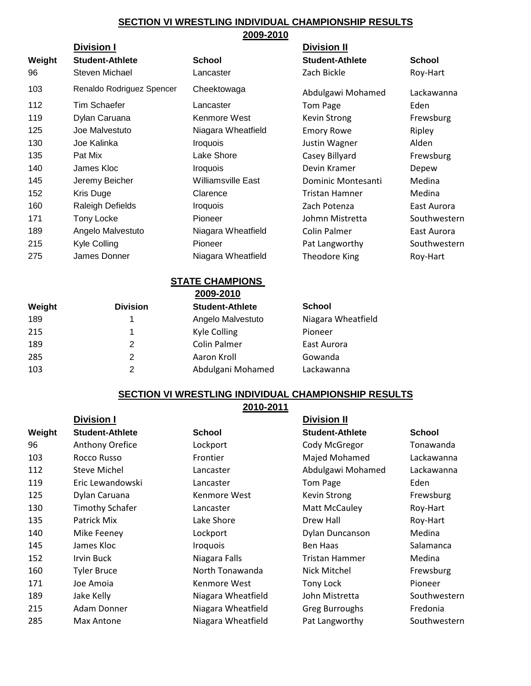## **SECTION VI WRESTLING INDIVIDUAL CHAMPIONSHIP RESULTS 2009-2010**

|        | <b>Division I</b>         |                               | <b>Division II</b>     |               |
|--------|---------------------------|-------------------------------|------------------------|---------------|
| Weight | <b>Student-Athlete</b>    | <b>School</b>                 | <b>Student-Athlete</b> | <b>School</b> |
| 96     | Steven Michael            | Lancaster                     | Zach Bickle            | Roy-Hart      |
| 103    | Renaldo Rodriguez Spencer | Cheektowaga                   | Abdulgawi Mohamed      | Lackawanna    |
| 112    | Tim Schaefer              | Lancaster                     | Tom Page               | Eden          |
| 119    | Dylan Caruana             | Kenmore West                  | Kevin Strong           | Frewsburg     |
| 125    | Joe Malvestuto            | Niagara Wheatfield            | <b>Emory Rowe</b>      | Ripley        |
| 130    | Joe Kalinka               | <i><u><b>Iroquois</b></u></i> | Justin Wagner          | Alden         |
| 135    | Pat Mix                   | Lake Shore                    | Casey Billyard         | Frewsburg     |
| 140    | James Kloc                | <b>Iroquois</b>               | Devin Kramer           | Depew         |
| 145    | Jeremy Beicher            | Williamsville East            | Dominic Montesanti     | Medina        |
| 152    | Kris Duge                 | Clarence                      | <b>Tristan Hamner</b>  | Medina        |
| 160    | Raleigh Defields          | <b>Iroquois</b>               | Zach Potenza           | East Aurora   |
| 171    | Tony Locke                | Pioneer                       | Johmn Mistretta        | Southwestern  |
| 189    | Angelo Malvestuto         | Niagara Wheatfield            | Colin Palmer           | East Aurora   |
| 215    | Kyle Colling              | Pioneer                       | Pat Langworthy         | Southwestern  |
| 275    | James Donner              | Niagara Wheatfield            | Theodore King          | Roy-Hart      |

## **STATE CHAMPIONS**

|        |                 | 2009-2010              |                    |
|--------|-----------------|------------------------|--------------------|
| Weight | <b>Division</b> | <b>Student-Athlete</b> | <b>School</b>      |
| 189    | 1               | Angelo Malvestuto      | Niagara Wheatfield |
| 215    | 1               | <b>Kyle Colling</b>    | Pioneer            |
| 189    | 2               | <b>Colin Palmer</b>    | East Aurora        |
| 285    | 2               | Aaron Kroll            | Gowanda            |
| 103    | 2               | Abdulgani Mohamed      | Lackawanna         |
|        |                 |                        |                    |

## **SECTION VI WRESTLING INDIVIDUAL CHAMPIONSHIP RESULTS**

|        |                        | 2010-2011          |                        |               |
|--------|------------------------|--------------------|------------------------|---------------|
|        | <b>Division I</b>      |                    | <b>Division II</b>     |               |
| Weight | <b>Student-Athlete</b> | <b>School</b>      | <b>Student-Athlete</b> | <b>School</b> |
| 96     | <b>Anthony Orefice</b> | Lockport           | Cody McGregor          | Tonawanda     |
| 103    | Rocco Russo            | Frontier           | Majed Mohamed          | Lackawanna    |
| 112    | <b>Steve Michel</b>    | Lancaster          | Abdulgawi Mohamed      | Lackawanna    |
| 119    | Eric Lewandowski       | Lancaster          | <b>Tom Page</b>        | Eden          |
| 125    | Dylan Caruana          | Kenmore West       | Kevin Strong           | Frewsburg     |
| 130    | <b>Timothy Schafer</b> | Lancaster          | Matt McCauley          | Roy-Hart      |
| 135    | Patrick Mix            | Lake Shore         | Drew Hall              | Roy-Hart      |
| 140    | Mike Feeney            | Lockport           | Dylan Duncanson        | Medina        |
| 145    | James Kloc             | <b>Iroquois</b>    | Ben Haas               | Salamanca     |
| 152    | <b>Irvin Buck</b>      | Niagara Falls      | Tristan Hammer         | Medina        |
| 160    | <b>Tyler Bruce</b>     | North Tonawanda    | Nick Mitchel           | Frewsburg     |
| 171    | Joe Amoia              | Kenmore West       | Tony Lock              | Pioneer       |
| 189    | Jake Kelly             | Niagara Wheatfield | John Mistretta         | Southwestern  |
| 215    | Adam Donner            | Niagara Wheatfield | <b>Greg Burroughs</b>  | Fredonia      |
| 285    | Max Antone             | Niagara Wheatfield | Pat Langworthy         | Southwestern  |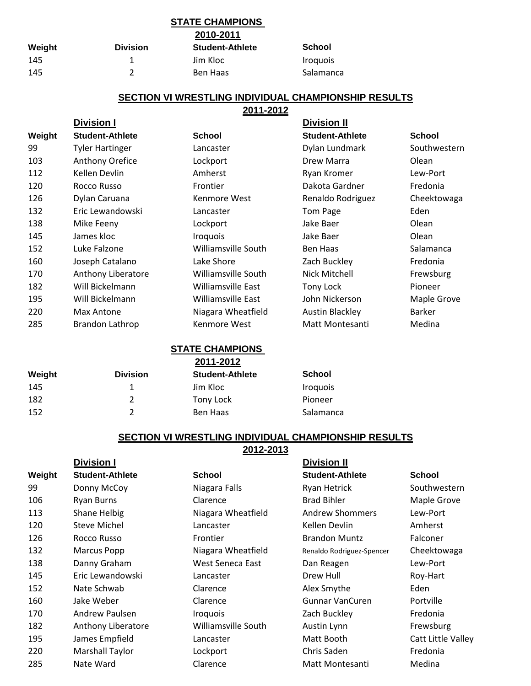# **STATE CHAMPIONS**

**2010-2011**

| Weight | <b>Division</b> | <b>Student-Athlete</b> | School                        |
|--------|-----------------|------------------------|-------------------------------|
| 145    |                 | Jim Kloc               | <i><u><b>Iroquois</b></u></i> |
| 145    |                 | Ben Haas               | Salamanca                     |

## **SECTION VI WRESTLING INDIVIDUAL CHAMPIONSHIP RESULTS**

### **2011-2012**

|        | <b>Division I</b>      |                     | Division II            |               |
|--------|------------------------|---------------------|------------------------|---------------|
| Weight | <b>Student-Athlete</b> | <b>School</b>       | <b>Student-Athlete</b> | <b>School</b> |
| 99     | <b>Tyler Hartinger</b> | Lancaster           | Dylan Lundmark         | Southwestern  |
| 103    | Anthony Orefice        | Lockport            | Drew Marra             | Olean         |
| 112    | Kellen Devlin          | Amherst             | Ryan Kromer            | Lew-Port      |
| 120    | Rocco Russo            | Frontier            | Dakota Gardner         | Fredonia      |
| 126    | Dylan Caruana          | Kenmore West        | Renaldo Rodriguez      | Cheektowaga   |
| 132    | Eric Lewandowski       | Lancaster           | Tom Page               | Eden          |
| 138    | Mike Feeny             | Lockport            | Jake Baer              | Olean         |
| 145    | James kloc             | <b>Iroquois</b>     | Jake Baer              | Olean         |
| 152    | Luke Falzone           | Williamsville South | Ben Haas               | Salamanca     |
| 160    | Joseph Catalano        | Lake Shore          | Zach Buckley           | Fredonia      |
| 170    | Anthony Liberatore     | Williamsville South | Nick Mitchell          | Frewsburg     |
| 182    | Will Bickelmann        | Williamsville East  | Tony Lock              | Pioneer       |
| 195    | Will Bickelmann        | Williamsville East  | John Nickerson         | Maple Grove   |
| 220    | Max Antone             | Niagara Wheatfield  | <b>Austin Blackley</b> | <b>Barker</b> |
| 285    | Brandon Lathrop        | Kenmore West        | Matt Montesanti        | Medina        |

### **Weight Division Student-Athlete 1** 1 Jim Kloc **II** Iroquois 182 2 Tony Lock Pioneer 152 2 Ben Haas Salamanca **School STATE CHAMPIONS 2011-2012**

## **SECTION VI WRESTLING INDIVIDUAL CHAMPIONSHIP RESULTS**

**2012-2013**

|        | <b>Division I</b>      |                     | <b>Division II</b>        |                           |
|--------|------------------------|---------------------|---------------------------|---------------------------|
| Weight | <b>Student-Athlete</b> | <b>School</b>       | <b>Student-Athlete</b>    | <b>School</b>             |
| 99     | Donny McCoy            | Niagara Falls       | Ryan Hetrick              | Southwestern              |
| 106    | Ryan Burns             | Clarence            | <b>Brad Bihler</b>        | Maple Grove               |
| 113    | Shane Helbig           | Niagara Wheatfield  | <b>Andrew Shommers</b>    | Lew-Port                  |
| 120    | <b>Steve Michel</b>    | Lancaster           | Kellen Devlin             | Amherst                   |
| 126    | Rocco Russo            | Frontier            | <b>Brandon Muntz</b>      | Falconer                  |
| 132    | Marcus Popp            | Niagara Wheatfield  | Renaldo Rodriguez-Spencer | Cheektowaga               |
| 138    | Danny Graham           | West Seneca East    | Dan Reagen                | Lew-Port                  |
| 145    | Eric Lewandowski       | Lancaster           | Drew Hull                 | Roy-Hart                  |
| 152    | Nate Schwab            | Clarence            | Alex Smythe               | Eden                      |
| 160    | Jake Weber             | Clarence            | Gunnar VanCuren           | Portville                 |
| 170    | Andrew Paulsen         | <b>Iroquois</b>     | Zach Buckley              | Fredonia                  |
| 182    | Anthony Liberatore     | Williamsville South | Austin Lynn               | Frewsburg                 |
| 195    | James Empfield         | Lancaster           | Matt Booth                | <b>Catt Little Valley</b> |
| 220    | <b>Marshall Taylor</b> | Lockport            | Chris Saden               | Fredonia                  |
| 285    | Nate Ward              | Clarence            | Matt Montesanti           | Medina                    |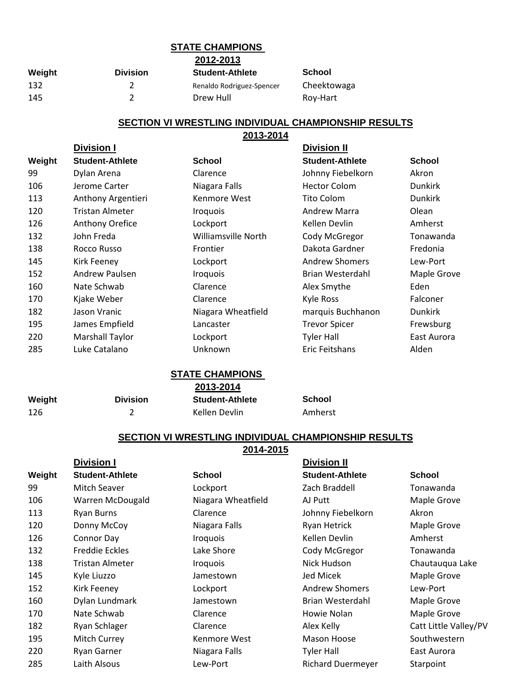# **STATE CHAMPIONS**

**2012-2013**

| Weight | <b>Division</b> | <b>Student-Athlete</b>    | School      |
|--------|-----------------|---------------------------|-------------|
| 132    |                 | Renaldo Rodriguez-Spencer | Cheektowaga |
| 145    |                 | Drew Hull                 | Rov-Hart    |

## **SECTION VI WRESTLING INDIVIDUAL CHAMPIONSHIP RESULTS**

|        | 2013-2014              |                               |                        |                |  |
|--------|------------------------|-------------------------------|------------------------|----------------|--|
|        | <b>Division I</b>      |                               | <b>Division II</b>     |                |  |
| Weight | <b>Student-Athlete</b> | <b>School</b>                 | <b>Student-Athlete</b> | <b>School</b>  |  |
| 99     | Dylan Arena            | Clarence                      | Johnny Fiebelkorn      | Akron          |  |
| 106    | Jerome Carter          | Niagara Falls                 | <b>Hector Colom</b>    | <b>Dunkirk</b> |  |
| 113    | Anthony Argentieri     | Kenmore West                  | <b>Tito Colom</b>      | <b>Dunkirk</b> |  |
| 120    | <b>Tristan Almeter</b> | <i><u><b>Iroquois</b></u></i> | <b>Andrew Marra</b>    | Olean          |  |
| 126    | Anthony Orefice        | Lockport                      | Kellen Devlin          | Amherst        |  |
| 132    | John Freda             | Williamsville North           | Cody McGregor          | Tonawanda      |  |
| 138    | Rocco Russo            | Frontier                      | Dakota Gardner         | Fredonia       |  |
| 145    | Kirk Feeney            | Lockport                      | <b>Andrew Shomers</b>  | Lew-Port       |  |
| 152    | Andrew Paulsen         | <b>Iroquois</b>               | Brian Westerdahl       | Maple Grove    |  |
| 160    | Nate Schwab            | Clarence                      | Alex Smythe            | Eden           |  |
| 170    | Kjake Weber            | Clarence                      | <b>Kyle Ross</b>       | Falconer       |  |
| 182    | Jason Vranic           | Niagara Wheatfield            | marquis Buchhanon      | <b>Dunkirk</b> |  |
| 195    | James Empfield         | Lancaster                     | <b>Trevor Spicer</b>   | Frewsburg      |  |
| 220    | Marshall Taylor        | Lockport                      | <b>Tyler Hall</b>      | East Aurora    |  |
| 285    | Luke Catalano          | Unknown                       | Eric Feitshans         | Alden          |  |

#### **STATE CHAMPIONS 2013-2014**

|        |                 | 2013-2014              |               |  |
|--------|-----------------|------------------------|---------------|--|
| Weight | <b>Division</b> | <b>Student-Athlete</b> | <b>School</b> |  |
| 126    |                 | Kellen Devlin          | Amherst       |  |

## **SECTION VI WRESTLING INDIVIDUAL CHAMPIONSHIP RESULTS**

**2014-2015**

|        | <b>Division I</b>      |                    | <b>Division II</b>       |                       |
|--------|------------------------|--------------------|--------------------------|-----------------------|
| Weight | <b>Student-Athlete</b> | <b>School</b>      | <b>Student-Athlete</b>   | <b>School</b>         |
| 99     | Mitch Seaver           | Lockport           | Zach Braddell            | Tonawanda             |
| 106    | Warren McDougald       | Niagara Wheatfield | AJ Putt                  | Maple Grove           |
| 113    | Ryan Burns             | Clarence           | Johnny Fiebelkorn        | Akron                 |
| 120    | Donny McCoy            | Niagara Falls      | Ryan Hetrick             | Maple Grove           |
| 126    | Connor Day             | <b>Iroquois</b>    | Kellen Devlin            | Amherst               |
| 132    | <b>Freddie Eckles</b>  | Lake Shore         | Cody McGregor            | Tonawanda             |
| 138    | Tristan Almeter        | <b>Iroquois</b>    | Nick Hudson              | Chautauqua Lake       |
| 145    | Kyle Liuzzo            | Jamestown          | Jed Micek                | Maple Grove           |
| 152    | Kirk Feeney            | Lockport           | <b>Andrew Shomers</b>    | Lew-Port              |
| 160    | Dylan Lundmark         | Jamestown          | Brian Westerdahl         | Maple Grove           |
| 170    | Nate Schwab            | Clarence           | Howie Nolan              | Maple Grove           |
| 182    | Ryan Schlager          | Clarence           | Alex Kelly               | Catt Little Valley/PV |
| 195    | Mitch Currey           | Kenmore West       | Mason Hoose              | Southwestern          |
| 220    | Ryan Garner            | Niagara Falls      | Tyler Hall               | East Aurora           |
| 285    | Laith Alsous           | Lew-Port           | <b>Richard Duermeyer</b> | Starpoint             |